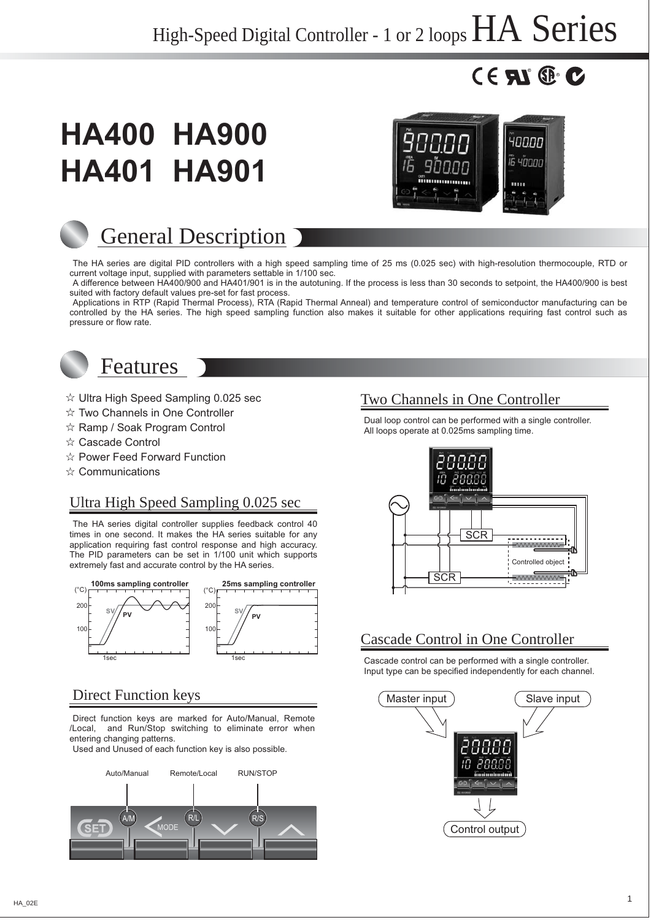# $^{\circ}$  RN $_{\circ}$

# **HA400 HA900 HA401 HA901 HA401 HA901**



# General Description

The HA series are digital PID controllers with a high speed sampling time of 25 ms (0.025 sec) with high-resolution thermocouple, RTD or current voltage input, supplied with parameters settable in 1/100 sec.

A difference between HA400/900 and HA401/901 is in the autotuning. If the process is less than 30 seconds to setpoint, the HA400/900 is best suited with factory default values pre-set for fast process.

Applications in RTP (Rapid Thermal Process), RTA (Rapid Thermal Anneal) and temperature control of semiconductor manufacturing can be controlled by the HA series. The high speed sampling function also makes it suitable for other applications requiring fast control such as pressure or flow rate.



# Features

- $\hat{x}$  Ultra High Speed Sampling 0.025 sec
- $\hat{x}$  Two Channels in One Controller
- $\hat{x}$  Ramp / Soak Program Control
- ☆ Cascade Control
- $\hat{x}$  Power Feed Forward Function
- $\hat{\mathbf{x}}$  Communications

# Ultra High Speed Sampling 0.025 sec

The HA series digital controller supplies feedback control 40 times in one second. It makes the HA series suitable for any application requiring fast control response and high accuracy. The PID parameters can be set in 1/100 unit which supports extremely fast and accurate control by the HA series.



# Direct Function keys

Direct function keys are marked for Auto/Manual, Remote /Local, and Run/Stop switching to eliminate error when entering changing patterns.

Used and Unused of each function key is also possible.



# Two Channels in One Controller

Dual loop control can be performed with a single controller. All loops operate at 0.025ms sampling time.



# Cascade Control in One Controller

Cascade control can be performed with a single controller. Input type can be specified independently for each channel.

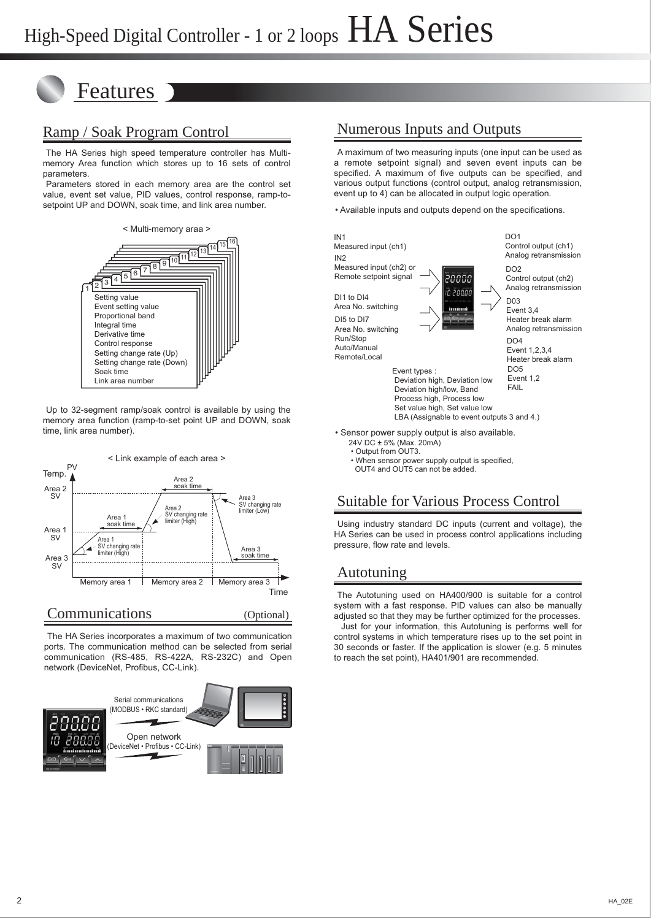# Features

# Ramp / Soak Program Control

The HA Series high speed temperature controller has Multimemory Area function which stores up to 16 sets of control parameters.

Parameters stored in each memory area are the control set value, event set value, PID values, control response, ramp-tosetpoint UP and DOWN, soak time, and link area number.



Up to 32-segment ramp/soak control is available by using the memory area function (ramp-to-set point UP and DOWN, soak time, link area number).



Communications (Optional)

The HA Series incorporates a maximum of two communication ports. The communication method can be selected from serial communication (RS-485, RS-422A, RS-232C) and Open network (DeviceNet, Profibus, CC-Link).



# Numerous Inputs and Outputs

A maximum of two measuring inputs (one input can be used as a remote setpoint signal) and seven event inputs can be specified. A maximum of five outputs can be specified, and various output functions (control output, analog retransmission, event up to 4) can be allocated in output logic operation.

• Available inputs and outputs depend on the specifications.



• Output from OUT3.

 • When sensor power supply output is specified, OUT4 and OUT5 can not be added.

# Suitable for Various Process Control

Using industry standard DC inputs (current and voltage), the HA Series can be used in process control applications including pressure, flow rate and levels.

# Autotuning

The Autotuning used on HA400/900 is suitable for a control system with a fast response. PID values can also be manually adjusted so that they may be further optimized for the processes. Just for your information, this Autotuning is performs well for

control systems in which temperature rises up to the set point in 30 seconds or faster. If the application is slower (e.g. 5 minutes to reach the set point), HA401/901 are recommended.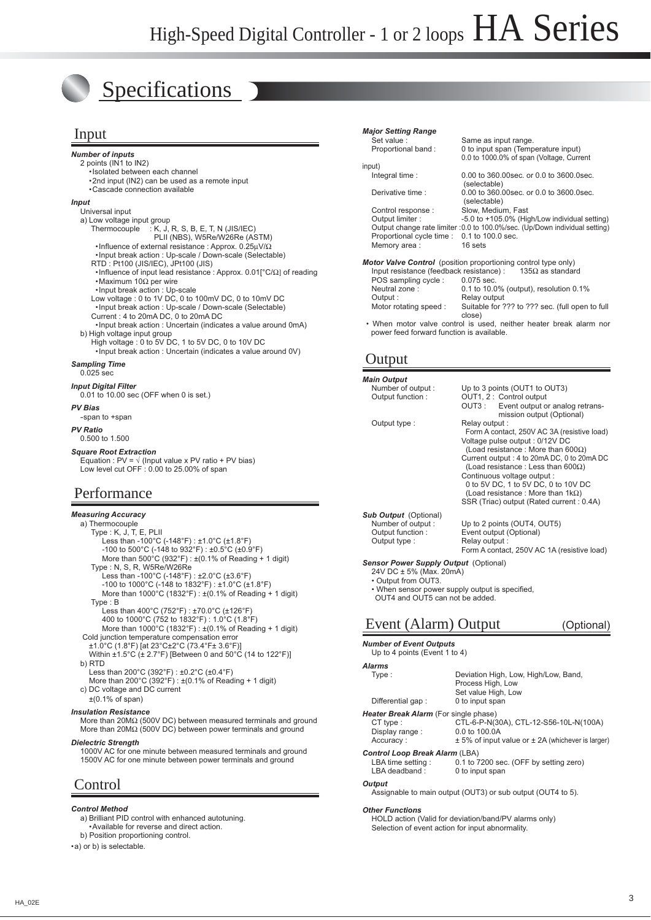*Major Se* Set value

# Specifications

### Input

*Number of inputs* 2 points (IN1 to IN2) •Isolated between each channel •2nd input (IN2) can be used as a remote input •Cascade connection available *Input* Universal input a) Low voltage input group<br>Thermocouple : K, J, Thermocouple : K, J, R, S, B, E, T, N (JIS/IEC) PLII (NBS), W5Re/W26Re (ASTM) •Influence of external resistance : Approx. 0.25μV/Ω •Input break action : Up-scale / Down-scale (Selectable) RTD : Pt100 (JIS/IEC), JPt100 (JIS) •Influence of input lead resistance : Approx. 0.01[°C/Ω] of reading •Maximum 10Ω per wire •Input break action : Up-scale Low voltage : 0 to 1V DC, 0 to 100mV DC, 0 to 10mV DC •Input break action : Up-scale / Down-scale (Selectable) Current : 4 to 20mA DC, 0 to 20mA DC •Input break action : Uncertain (indicates a value around 0mA) b) High voltage input group High voltage : 0 to 5V DC, 1 to 5V DC, 0 to 10V DC •Input break action : Uncertain (indicates a value around 0V) *Sampling Time* 0.025 sec *Input Digital Filter* 0.01 to 10.00 sec (OFF when 0 is set.) *PV Bias* -span to +span *PV Ratio* 0.500 to 1.500 *Square Root Extraction* Equation : PV =  $\sqrt{($  Input value x PV ratio + PV bias) Low level cut OFF : 0.00 to 25.00% of span

### Performance

#### *Measuring Accuracy* a) Thermocouple

 Type : K, J, T, E, PLII Less than -100°C (-148°F) : ±1.0°C (±1.8°F) -100 to 500°C (-148 to 932°F) : ±0.5°C (±0.9°F) More than  $500^{\circ}$ C (932°F) :  $\pm$ (0.1% of Reading + 1 digit) Type : N, S, R, W5Re/W26Re Less than -100°C (-148°F) : ±2.0°C (±3.6°F) -100 to 1000°C (-148 to 1832°F) : ±1.0°C (±1.8°F) More than 1000°C (1832°F) : ±(0.1% of Reading + 1 digit) Type : B Less than 400°C (752°F) : ±70.0°C (±126°F) 400 to 1000°C (752 to 1832°F) : 1.0°C (1.8°F) More than  $1000^{\circ}$ C (1832°F) :  $\pm$ (0.1% of Reading + 1 digit) Cold junction temperature compensation error ±1.0°C (1.8°F) [at 23°C±2°C (73.4°F± 3.6°F)] Within ±1.5°C (± 2.7°F) [Between 0 and 50°C (14 to 122°F)] b) RTD Less than 200°C (392°F) : ±0.2°C (±0.4°F) More than 200°C (392°F) : ±(0.1% of Reading + 1 digit)

 c) DC voltage and DC current ±(0.1% of span)

#### *Insulation Resistance*

 More than 20MΩ (500V DC) between measured terminals and ground More than 20MΩ (500V DC) between power terminals and ground

#### *Dielectric Strength*

 1000V AC for one minute between measured terminals and ground 1500V AC for one minute between power terminals and ground

### Control

#### *Control Method*

 a) Brilliant PID control with enhanced autotuning. •Available for reverse and direct action.

b) Position proportioning control.

•a) or b) is selectable.

| <b>Major Setting Range</b>               |                                                                                 |
|------------------------------------------|---------------------------------------------------------------------------------|
| Set value:                               | Same as input range.                                                            |
| Proportional band:                       | 0 to input span (Temperature input)<br>0.0 to 1000.0% of span (Voltage, Current |
| input)                                   |                                                                                 |
| Integral time:                           | 0.00 to 360,00 sec. or 0.0 to 3600,0 sec.<br>(selectable)                       |
| Derivative time:                         | 0.00 to 360.00 sec. or 0.0 to 3600.0 sec.<br>(selectable)                       |
| Control response:                        | Slow. Medium. Fast                                                              |
| Output limiter:                          | -5.0 to +105.0% (High/Low individual setting)                                   |
|                                          | Output change rate limiter : 0.0 to 100.0%/sec. (Up/Down individual setting)    |
| Proportional cycle time:                 | $0.1$ to $100.0$ sec.                                                           |
| Memory area:                             | 16 sets                                                                         |
|                                          | <b>Motor Valve Control</b> (position proportioning control type only)           |
| Input resistance (feedback resistance) : | 135 $\Omega$ as standard                                                        |

Input resistance (feedback resistance) :<br>POS sampling cycle  $10075$  sec POS sampling cycle :<br>Neutral zone :  $0.1$  to 10.0% (output), resolution  $0.1\%$ Output :<br>
Motor rotating speed : Suitable for ? Suitable for ??? to ??? sec. (full open to full close)

 • When motor valve control is used, neither heater break alarm nor power feed forward function is available.

### **Output**

*Main Output*

| <b>Main Output</b>                                                                                                                                                            |                                                                                                                                                                                                                                                                                                                                                                                                         |
|-------------------------------------------------------------------------------------------------------------------------------------------------------------------------------|---------------------------------------------------------------------------------------------------------------------------------------------------------------------------------------------------------------------------------------------------------------------------------------------------------------------------------------------------------------------------------------------------------|
| Number of output:<br>Output function:                                                                                                                                         | Up to 3 points (OUT1 to OUT3)<br>OUT1, 2 : Control output<br>Event output or analog retrans-<br>OUT3 :<br>mission output (Optional)                                                                                                                                                                                                                                                                     |
| Output type:                                                                                                                                                                  | Relay output:<br>Form A contact, 250V AC 3A (resistive load)<br>Voltage pulse output: 0/12V DC<br>(Load resistance: More than 600 $\Omega$ )<br>Current output: 4 to 20mA DC, 0 to 20mA DC<br>(Load resistance: Less than 600 $\Omega$ )<br>Continuous voltage output :<br>0 to 5V DC, 1 to 5V DC, 0 to 10V DC<br>(Load resistance: More than $1k\Omega$ )<br>SSR (Triac) output (Rated current : 0.4A) |
| <b>Sub Output</b> (Optional)                                                                                                                                                  |                                                                                                                                                                                                                                                                                                                                                                                                         |
| Number of output:<br>Output function:<br>Output type:                                                                                                                         | Up to 2 points (OUT4, OUT5)<br>Event output (Optional)<br>Relay output:<br>Form A contact, 250V AC 1A (resistive load)                                                                                                                                                                                                                                                                                  |
| Sensor Power Supply Output (Optional)<br>24V DC ± 5% (Max. 20mA)<br>• Output from OUT3.<br>• When sensor power supply output is specified,<br>OUT4 and OUT5 can not be added. |                                                                                                                                                                                                                                                                                                                                                                                                         |

# Event (Alarm) Output (Optional)

*Number of Event Outputs* Up to 4 points (Event 1 to 4) *Alarms* Deviation High, Low, High/Low, Band, Process High, Low Set value High, Low<br>Differential gap: 0 to input span 0 to input span **Heater Break Alarm** (For single phase)<br>CT type : CTL-6-P-N( CTL-6-P-N(30A), CTL-12-S56-10L-N(100A)<br>0.0 to 100.0A Display range : Accuracy :  $\pm 5\%$  of input value or  $\pm 2A$  (whichever is larger) **Control Loop Break Alarm** (LBA)<br>LBA time setting : 0.1 to LBA time setting : 0.1 to 7200 sec. (OFF by setting zero)<br>
I BA deadband : 0 to input span 0 to input span *Output* Assignable to main output (OUT3) or sub output (OUT4 to 5).

#### *Other Functions*

 HOLD action (Valid for deviation/band/PV alarms only) Selection of event action for input abnormality.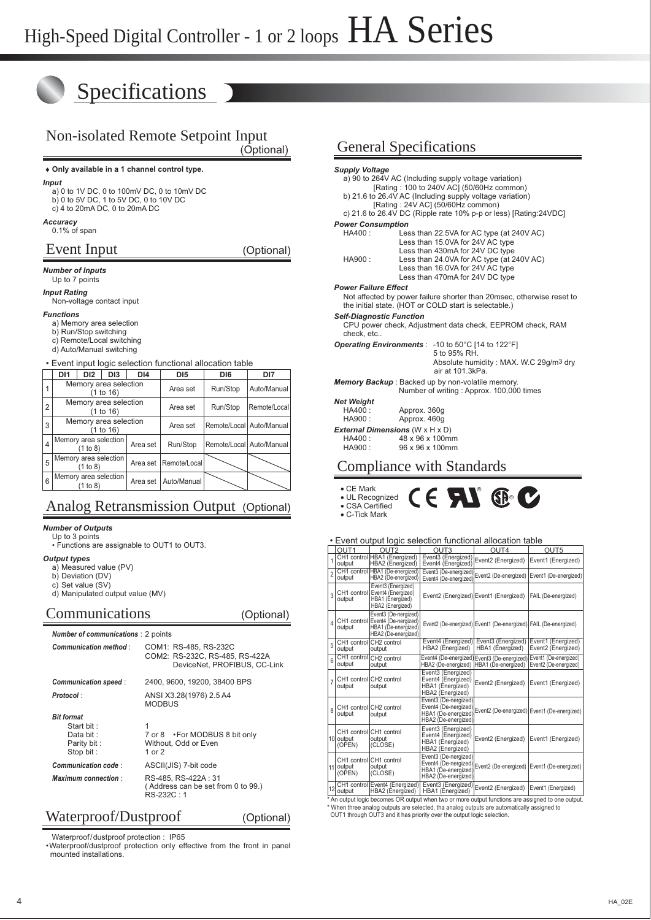# **Specifications**

# Non-isolated Remote Setpoint Input

(Optional)

#### ♦ **Only available in a 1 channel control type.**

*Input*

- a) 0 to 1V DC, 0 to 100mV DC, 0 to 10mV DC b) 0 to 5V DC, 1 to 5V DC, 0 to 10V DC
- c) 4 to 20mA DC, 0 to 20mA DC

*Accuracy*

#### 0.1% of span

### Event Input (Optional)

*Number of Inputs* Up to 7 points

### *Input Rating*

Non-voltage contact input

#### *Functions*

- a) Memory area selection
- b) Run/Stop switching
- c) Remote/Local switching d) Auto/Manual switching
- 

• Event input logic selection functional allocation table

|                         | D <sub>11</sub>                    | DI <sub>2</sub>                    | D <sub>13</sub>       | DI4      | D <sub>15</sub> | DI <sub>6</sub>          | DI7          |
|-------------------------|------------------------------------|------------------------------------|-----------------------|----------|-----------------|--------------------------|--------------|
|                         | Memory area selection<br>(1 to 16) |                                    |                       |          | Area set        | Run/Stop                 | Auto/Manual  |
| $\overline{2}$          | Memory area selection<br>(1 to 16) |                                    |                       |          | Area set        | Run/Stop                 | Remote/Local |
| 3                       |                                    | Memory area selection<br>(1 to 16) |                       |          | Area set        | Remote/Local Auto/Manual |              |
| $\overline{\mathbf{4}}$ |                                    | (1 to 8)                           | Memory area selection | Area set | Run/Stop        | Remote/Local Auto/Manual |              |
| 5                       |                                    | (1 to 8)                           | Memory area selection | Area set | Remote/Local    |                          |              |
| 6                       |                                    | (1 to 8)                           | Memory area selection | Area set | Auto/Manual     |                          |              |

### Analog Retransmission Output (Optional)

#### *Number of Outputs*

 Up to 3 points • Functions are assignable to OUT1 to OUT3.

*Output types*

a) Measured value (PV)

b) Deviation (DV) c) Set value (SV)

d) Manipulated output value (MV)

#### Communications (Optional)

| <b>Number of communications: 2 points</b>                                |                                                                                         |
|--------------------------------------------------------------------------|-----------------------------------------------------------------------------------------|
| <b>Communication method:</b>                                             | COM1: RS-485, RS-232C<br>COM2: RS-232C, RS-485, RS-422A<br>DeviceNet, PROFIBUS, CC-Link |
| Communication speed:                                                     | 2400, 9600, 19200, 38400 BPS                                                            |
| Protocol:                                                                | ANSI X3.28(1976) 2.5 A4<br><b>MODBUS</b>                                                |
| <b>Bit format</b><br>Start bit:<br>Data bit:<br>Parity bit:<br>Stop bit: | 1<br>7 or 8 • For MODBUS 8 bit only<br>Without, Odd or Even<br>1 or $2$                 |
| Communication code:                                                      | ASCII(JIS) 7-bit code                                                                   |
| <b>Maximum connection:</b>                                               | RS-485, RS-422A : 31<br>(Address can be set from 0 to 99.)<br>$RS-232C:1$               |

### Waterproof/Dustproof (Optional)

 Waterproof/dustproof protection : IP65 •Waterproof/dustproof protection only effective from the front in panel mounted installations.

# General Specifications

| <b>Supply Voltage</b>                         | a) 90 to 264V AC (Including supply voltage variation)<br>[Rating: 100 to 240V AC] (50/60Hz common)<br>b) 21.6 to 26.4V AC (Including supply voltage variation)<br>[Rating: 24V AC] (50/60Hz common)<br>c) 21.6 to 26.4V DC (Ripple rate 10% p-p or less) [Rating: $24$ VDC] |  |  |  |  |  |  |
|-----------------------------------------------|-----------------------------------------------------------------------------------------------------------------------------------------------------------------------------------------------------------------------------------------------------------------------------|--|--|--|--|--|--|
| <b>Power Consumption</b>                      |                                                                                                                                                                                                                                                                             |  |  |  |  |  |  |
| $HA400 -$                                     | Less than 22.5VA for AC type (at 240V AC)                                                                                                                                                                                                                                   |  |  |  |  |  |  |
| HA900 :                                       | Less than 15.0VA for 24V AC type<br>Less than 430mA for 24V DC type<br>Less than 24.0VA for AC type (at 240V AC)<br>Less than 16.0VA for 24V AC type<br>Less than 470mA for 24V DC type                                                                                     |  |  |  |  |  |  |
| <b>Power Failure Effect</b>                   |                                                                                                                                                                                                                                                                             |  |  |  |  |  |  |
|                                               | Not affected by power failure shorter than 20 msec, otherwise reset to<br>the initial state. (HOT or COLD start is selectable.)                                                                                                                                             |  |  |  |  |  |  |
| <b>Self-Diagnostic Function</b><br>check. etc | CPU power check, Adjustment data check, EEPROM check, RAM                                                                                                                                                                                                                   |  |  |  |  |  |  |
|                                               | <b>Operating Environments</b> : -10 to 50°C [14 to 122°F]                                                                                                                                                                                                                   |  |  |  |  |  |  |
|                                               | 5 to 95% RH.<br>Absolute humidity: MAX. W.C 29q/m <sup>3</sup> dry<br>air at 101.3kPa.                                                                                                                                                                                      |  |  |  |  |  |  |
|                                               | <b>Memory Backup</b> : Backed up by non-volatile memory.                                                                                                                                                                                                                    |  |  |  |  |  |  |
|                                               | Number of writing: Approx. 100,000 times                                                                                                                                                                                                                                    |  |  |  |  |  |  |
| <b>Net Weight</b>                             |                                                                                                                                                                                                                                                                             |  |  |  |  |  |  |
| HA400.                                        | Approx. 360q                                                                                                                                                                                                                                                                |  |  |  |  |  |  |
| HA900:                                        | Approx. 460q                                                                                                                                                                                                                                                                |  |  |  |  |  |  |
| <b>External Dimensions (W x H x D)</b>        |                                                                                                                                                                                                                                                                             |  |  |  |  |  |  |
|                                               | HA400: 48 x 96 x 100mm                                                                                                                                                                                                                                                      |  |  |  |  |  |  |
|                                               | HA900: 96 x 96 x 100mm                                                                                                                                                                                                                                                      |  |  |  |  |  |  |
|                                               |                                                                                                                                                                                                                                                                             |  |  |  |  |  |  |

# Compliance with Standards

| $\bullet$ CF Mark |  |
|-------------------|--|
| • UL Recognized   |  |
| • CSA Certified   |  |
| • C-Tick Mark     |  |

#### • Event output logic selection functional allocation table

 $\overline{\mathbf{G}}$ 

|                |                                                | • Event output logic selection functional allocation table                                             |                                                                                            |                                                                    |                                                |  |  |
|----------------|------------------------------------------------|--------------------------------------------------------------------------------------------------------|--------------------------------------------------------------------------------------------|--------------------------------------------------------------------|------------------------------------------------|--|--|
|                | OUT <sub>1</sub>                               | OUT <sub>2</sub>                                                                                       | OUT <sub>3</sub>                                                                           | OUT4                                                               | OUT <sub>5</sub>                               |  |  |
| $\overline{1}$ | output                                         | CH1 control HBA1 (Energized)<br>HBA2 (Energized)                                                       | Event3 (Energized)<br>Event4 (Energized)                                                   | Event2 (Energized)                                                 | Event1 (Energized)                             |  |  |
| $\overline{2}$ | output                                         | CH1 control HBA1 (De-energized)<br>HBA2 (De-energized)                                                 | Event3 (De-energized)<br>Event4 (De-energized)                                             | Event2 (De-energized)                                              | Event1 (De-energized)                          |  |  |
| 3              | output                                         | Event3 (Energized)<br>CH1 control Event4 (Energized)<br>HBA1 (Energized)<br>HBA2 (Energized)           |                                                                                            | Event2 (Energized) Event1 (Energized)                              | FAIL (De-energized)                            |  |  |
| 4              | output                                         | Event3 (De-nergized)<br>CH1 control Event4 (De-nergized)<br>HBA1 (De-energized)<br>HBA2 (De-energized) |                                                                                            | Event2 (De-energized) Event1 (De-energized) FAIL (De-energized)    |                                                |  |  |
| 5              | CH1 control CH2 control<br>output              | output                                                                                                 | Event4 (Energized)<br>HBA2 (Energized)                                                     | Event3 (Energized)<br>HBA1 (Energized)                             | Event1 (Energized)<br>Event2 (Energized)       |  |  |
| 6              | CH1 control<br>output                          | CH <sub>2</sub> control<br>output                                                                      | HBA2 (De-energized)                                                                        | Event4 (De-energized) Event3 (De-energized)<br>HBA1 (De-eneraized) | Event1 (De-energized)<br>Event2 (De-energized) |  |  |
| $\overline{7}$ | CH1 control CH2 control<br>output              | output                                                                                                 | Event3 (Energized)<br>Event4 (Energized)<br>HBA1 (Energized)<br>HBA2 (Energized)           | Event2 (Energized)                                                 | Event1 (Energized)                             |  |  |
| 8              | CH1 control CH2 control<br>output              | output                                                                                                 | Event3 (De-nergized)<br>Event4 (De-nergized)<br>HBA1 (De-energized)<br>HBA2 (De-energized) | Event2 (De-energized) Event1 (De-energized)                        |                                                |  |  |
|                | CH1 control CH1 control<br>10 output<br>(OPEN) | output<br>(CLOSE)                                                                                      | Event3 (Energized)<br>Event4 (Energized)<br>HBA1 (Energized)<br>HBA2 (Energized)           | Event2 (Energized)                                                 | Event1 (Energized)                             |  |  |
|                | CH1 control CH1 control<br>11 output<br>(OPEN) | output<br>(CLOSE)                                                                                      | Event3 (De-nergized)<br>Event4 (De-nergized)<br>HBA1 (De-energized)<br>HBA2 (De-energized) | Event2 (De-energized) Event1 (De-energized)                        |                                                |  |  |
| 12             | output<br><b>Alexandrich Louis Land</b>        | CH1 control Event4 (Energized)<br>HBA2 (Energized)                                                     | Event3 (Energized)<br>HBA1 (Energized)                                                     | Event2 (Energized)<br>1.1.11                                       | Event1 (Energized)                             |  |  |

\* An output logic becomes OR output when two or more output functions are assigned to one output. \* When three analog outputs are selected, tha analog outputs are automatically assigned to OUT1 through OUT3 and it has priority over the output logic selection.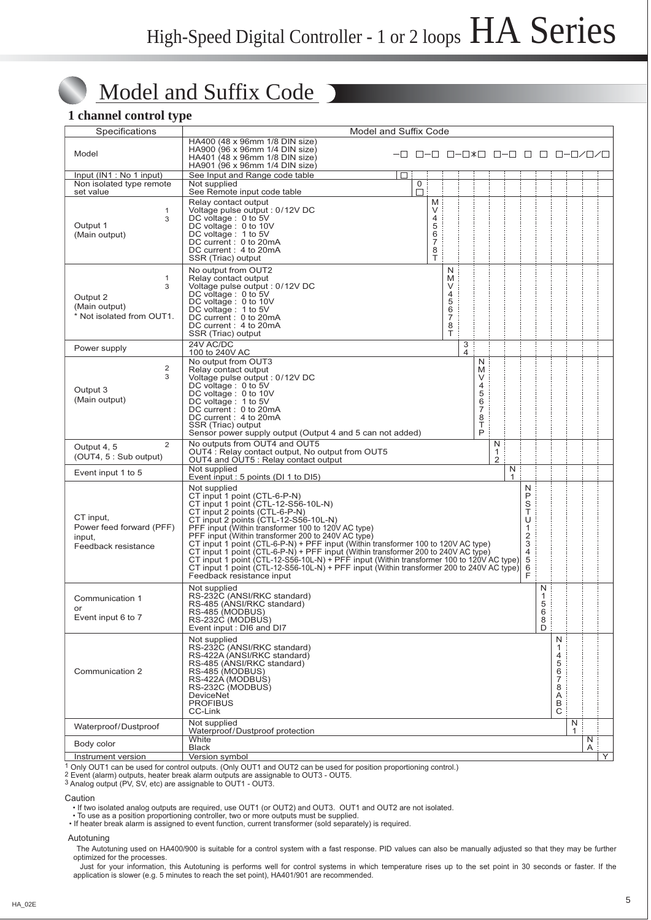# Model and Suffix Code

### **1 channel control type**

 $\bigcirc$ 

| Specifications                                                         | Model and Suffix Code                                                                                                                                                                                                                                                                                                                                                                                                                                                                                                                                                                                                                                                                |                              |        |                                                                |                                                        |                     |                                                             |        |                                                                                               |                            |                                                |        |            |   |
|------------------------------------------------------------------------|--------------------------------------------------------------------------------------------------------------------------------------------------------------------------------------------------------------------------------------------------------------------------------------------------------------------------------------------------------------------------------------------------------------------------------------------------------------------------------------------------------------------------------------------------------------------------------------------------------------------------------------------------------------------------------------|------------------------------|--------|----------------------------------------------------------------|--------------------------------------------------------|---------------------|-------------------------------------------------------------|--------|-----------------------------------------------------------------------------------------------|----------------------------|------------------------------------------------|--------|------------|---|
| Model                                                                  | HA400 (48 x 96mm 1/8 DIN size)<br>HA900 (96 x 96mm 1/4 DIN size)<br>HA401 (48 x 96mm 1/8 DIN size)<br>HA901 (96 x 96mm 1/4 DIN size)                                                                                                                                                                                                                                                                                                                                                                                                                                                                                                                                                 | -0 0-0 0-0*0 0-0 0 0 0-0/0/0 |        |                                                                |                                                        |                     |                                                             |        |                                                                                               |                            |                                                |        |            |   |
| Input (IN1 : No 1 input)                                               | See Input and Range code table                                                                                                                                                                                                                                                                                                                                                                                                                                                                                                                                                                                                                                                       | □                            |        |                                                                |                                                        |                     |                                                             |        |                                                                                               |                            |                                                |        |            |   |
| Non isolated type remote<br>set value                                  | Not supplied<br>See Remote input code table                                                                                                                                                                                                                                                                                                                                                                                                                                                                                                                                                                                                                                          |                              | 0<br>口 |                                                                |                                                        |                     |                                                             |        |                                                                                               |                            |                                                |        |            |   |
| $\mathbf{1}$<br>3<br>Output 1<br>(Main output)                         | Relay contact output<br>Voltage pulse output : 0/12V DC<br>DC voltage: 0 to 5V<br>DC voltage: 0 to 10V<br>DC voltage: 1 to 5V<br>DC current: 0 to 20mA<br>DC current: 4 to 20mA<br>SSR (Triac) output                                                                                                                                                                                                                                                                                                                                                                                                                                                                                |                              |        | M<br>V<br>$\overline{4}$<br>5<br>6<br>$\overline{7}$<br>8<br>Т |                                                        |                     |                                                             |        |                                                                                               |                            |                                                |        |            |   |
| 1<br>3<br>Output 2<br>(Main output)<br>* Not isolated from OUT1.       | No output from OUT2<br>Relay contact output<br>Voltage pulse output: 0/12V DC<br>DC voltage: 0 to 5V<br>DC voltage: 0 to 10V<br>DC voltage: 1 to 5V<br>DC current: 0 to 20mA<br>DC current: 4 to 20mA<br>SSR (Triac) output                                                                                                                                                                                                                                                                                                                                                                                                                                                          |                              |        |                                                                | N<br>M<br>V<br>4<br>5<br>6<br>$\overline{7}$<br>8<br>Τ |                     |                                                             |        |                                                                                               |                            |                                                |        |            |   |
| Power supply                                                           | 24V AC/DC<br>100 to 240V AC                                                                                                                                                                                                                                                                                                                                                                                                                                                                                                                                                                                                                                                          |                              |        |                                                                |                                                        | 3<br>$\overline{4}$ |                                                             |        |                                                                                               |                            |                                                |        |            |   |
| 2<br>3<br>Output 3<br>(Main output)                                    | No output from OUT3<br>Relay contact output<br>Voltage pulse output : 0/12V DC<br>DC voltage: 0 to 5V<br>DC voltage: 0 to 10V<br>DC voltage: 1 to 5V<br>DC current : 0 to 20mA<br>DC current: 4 to 20mA<br>SSR (Triac) output<br>Sensor power supply output (Output 4 and 5 can not added)                                                                                                                                                                                                                                                                                                                                                                                           |                              |        |                                                                |                                                        |                     | N<br>M<br>V<br>4<br>5<br>6<br>$\overline{7}$<br>8<br>Τ<br>P |        |                                                                                               |                            |                                                |        |            |   |
| $\overline{2}$<br>Output 4, 5<br>(OUT4, 5 : Sub output)                | No outputs from OUT4 and OUT5<br>N<br>OUT4 : Relay contact output, No output from OUT5<br>$\mathbf{1}$<br>2<br>OUT4 and OUT5 : Relay contact output                                                                                                                                                                                                                                                                                                                                                                                                                                                                                                                                  |                              |        |                                                                |                                                        |                     |                                                             |        |                                                                                               |                            |                                                |        |            |   |
| Event input 1 to 5                                                     | Not supplied<br>Event input: 5 points (DI 1 to DI5)                                                                                                                                                                                                                                                                                                                                                                                                                                                                                                                                                                                                                                  |                              |        |                                                                |                                                        |                     |                                                             | N<br>1 |                                                                                               |                            |                                                |        |            |   |
| CT input,<br>Power feed forward (PFF)<br>input,<br>Feedback resistance | Not supplied<br>CT input 1 point (CTL-6-P-N)<br>CT input 1 point (CTL-12-S56-10L-N)<br>CT input 2 points (CTL-6-P-N)<br>CT input 2 points (CTL-12-S56-10L-N)<br>PFF input (Within transformer 100 to 120V AC type)<br>PFF input (Within transformer 200 to 240V AC type)<br>CT input 1 point (CTL-6-P-N) + PFF input (Within transformer 100 to 120V AC type)<br>CT input 1 point (CTL-6-P-N) + PFF input (Within transformer 200 to 240V AC type)<br>CT input 1 point (CTL-12-S56-10L-N) + PFF input (Within transformer 100 to 120V AC type)<br>CT input 1 point $\overline{(CTL-12-S56-10L-N)} + PFF$ input (Within transformer 200 to 240V AC type)<br>Feedback resistance input |                              |        |                                                                |                                                        |                     |                                                             |        | N<br>P<br>S<br>T<br>U<br>$\mathbf{1}$<br>$\overline{2}$<br>3<br>$\overline{4}$<br>5<br>6<br>Ė |                            |                                                |        |            |   |
| Communication 1<br>or<br>Event input 6 to 7                            | Not supplied<br>RS-232C (ANSI/RKC standard)<br>RS-485 (ANSI/RKC standard)<br>RS-485 (MODBUS)<br>RS-232C (MODBUS)<br>Event input: DI6 and DI7                                                                                                                                                                                                                                                                                                                                                                                                                                                                                                                                         |                              |        |                                                                |                                                        |                     |                                                             |        |                                                                                               | N<br>1<br>5<br>6<br>8<br>D |                                                |        |            |   |
| Communication 2                                                        | Not supplied<br>RS-232C (ANSI/RKC standard)<br>RS-422A (ANSI/RKC standard)<br>RS-485 (ANSI/RKC standard)<br>RS-485 (MODBUS)<br>RS-422A (MODBUS)<br>RS-232C (MODBUS)<br><b>DeviceNet</b><br><b>PROFIBUS</b><br>CC-Link                                                                                                                                                                                                                                                                                                                                                                                                                                                                |                              |        |                                                                |                                                        |                     |                                                             |        |                                                                                               |                            | N<br>1<br>4<br>5<br>6<br>7<br>8<br>A<br>В<br>С |        |            |   |
| Waterproof/Dustproof                                                   | Not supplied<br>Waterproof/Dustproof protection                                                                                                                                                                                                                                                                                                                                                                                                                                                                                                                                                                                                                                      |                              |        |                                                                |                                                        |                     |                                                             |        |                                                                                               |                            |                                                | N<br>1 |            |   |
| Body color                                                             | White<br><b>Black</b>                                                                                                                                                                                                                                                                                                                                                                                                                                                                                                                                                                                                                                                                |                              |        |                                                                |                                                        |                     |                                                             |        |                                                                                               |                            |                                                |        | N<br>$A$ : |   |
| Instrument version                                                     | Version symbol                                                                                                                                                                                                                                                                                                                                                                                                                                                                                                                                                                                                                                                                       |                              |        |                                                                |                                                        |                     |                                                             |        |                                                                                               |                            |                                                |        |            | Y |

1 Only OUT1 can be used for control outputs. (Only OUT1 and OUT2 can be used for position proportioning control.)

<sup>2</sup> Event (alarm) outputs, heater break alarm outputs are assignable to OUT3 - OUT5.<br><sup>3</sup> Analog output (PV, SV, etc) are assignable to OUT1 - OUT3.

Caution

• If two isolated analog outputs are required, use OUT1 (or OUT2) and OUT3. OUT1 and OUT2 are not isolated.

• To use as a position proportioning controller, two or more outputs must be supplied.

• If heater break alarm is assigned to event function, current transformer (sold separately) is required.

Autotuning

The Autotuning used on HA400/900 is suitable for a control system with a fast response. PID values can also be manually adjusted so that they may be further optimized for the processes.

 Just for your information, this Autotuning is performs well for control systems in which temperature rises up to the set point in 30 seconds or faster. If the application is slower (e.g. 5 minutes to reach the set point), HA401/901 are recommended.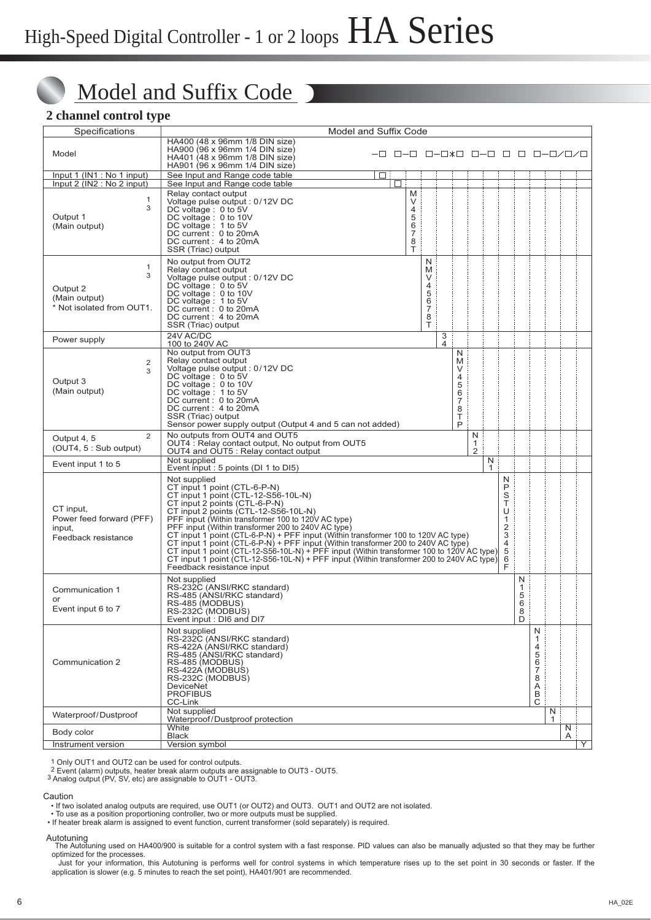# Model and Suffix Code

### **2 channel control type**

| Specifications                                                         | Model and Suffix Code                                                                                                                                                                                                                                                                                                                                                                                                                                                                                                                                                                                                                                                                                                                            |                              |                                                                |                                                        |        |  |        |                            |                                                |        |        |   |
|------------------------------------------------------------------------|--------------------------------------------------------------------------------------------------------------------------------------------------------------------------------------------------------------------------------------------------------------------------------------------------------------------------------------------------------------------------------------------------------------------------------------------------------------------------------------------------------------------------------------------------------------------------------------------------------------------------------------------------------------------------------------------------------------------------------------------------|------------------------------|----------------------------------------------------------------|--------------------------------------------------------|--------|--|--------|----------------------------|------------------------------------------------|--------|--------|---|
| Model                                                                  | HA400 (48 x 96mm 1/8 DIN size)<br>HA900 (96 x 96mm 1/4 DIN size)<br>HA401 (48 x 96mm 1/8 DIN size)<br>HA901 (96 x 96mm 1/4 DIN size)                                                                                                                                                                                                                                                                                                                                                                                                                                                                                                                                                                                                             | -0 0-0 0-0*0 0-0 0 0 0-0/0/0 |                                                                |                                                        |        |  |        |                            |                                                |        |        |   |
| Input 1 (IN1 : No 1 input)<br>Input 2 (IN2 : No 2 input)               | See Input and Range code table<br>See Input and Range code table                                                                                                                                                                                                                                                                                                                                                                                                                                                                                                                                                                                                                                                                                 | □                            |                                                                |                                                        |        |  |        |                            |                                                |        |        |   |
| 1<br>3<br>Output 1<br>(Main output)                                    | Relay contact output<br>Voltage pulse output: 0/12V DC<br>DC voltage: 0 to 5V<br>DC voltage : 0 to 10V<br>DC voltage: 1 to 5V<br>DC current: 0 to 20mA<br>DC current: 4 to 20mA<br>SSR (Triac) output                                                                                                                                                                                                                                                                                                                                                                                                                                                                                                                                            |                              | M<br>V<br>$\overline{4}$<br>5<br>6<br>$\overline{7}$<br>8<br>T |                                                        |        |  |        |                            |                                                |        |        |   |
| 1<br>3<br>Output 2<br>(Main output)<br>* Not isolated from OUT1.       | No output from OUT2<br>Relay contact output<br>Voltage pulse output: 0/12V DC<br>DC voltage: 0 to 5V<br>DC voltage : 0 to 10V<br>DC voltage : 1 to 5V<br>DC current: 0 to 20mA<br>DC current: 4 to 20mA<br>SSR (Triac) output                                                                                                                                                                                                                                                                                                                                                                                                                                                                                                                    |                              |                                                                | N<br>M<br>V<br>4<br>5<br>6<br>$\overline{7}$<br>8<br>Τ |        |  |        |                            |                                                |        |        |   |
| Power supply                                                           | 24V AC/DC<br>100 to 240V AC                                                                                                                                                                                                                                                                                                                                                                                                                                                                                                                                                                                                                                                                                                                      |                              |                                                                |                                                        | 3<br>4 |  |        |                            |                                                |        |        |   |
| 2<br>3<br>Output 3<br>(Main output)                                    | No output from OUT3<br>N<br>Relay contact output<br>M<br>Voltage pulse output: 0/12V DC<br>V<br>DC voltage: 0 to 5V<br>4<br>DC voltage: 0 to 10V<br>5<br>DC voltage : 1 to 5V<br>6<br>DC current: 0 to 20mA<br>7<br>DC current: 4 to 20mA<br>8<br>Τ<br>SSR (Triac) output<br>P<br>Sensor power supply output (Output 4 and 5 can not added)                                                                                                                                                                                                                                                                                                                                                                                                      |                              |                                                                |                                                        |        |  |        |                            |                                                |        |        |   |
| $\overline{2}$<br>Output 4, 5<br>(OUT4, 5: Sub output)                 | No outputs from OUT4 and OUT5<br>N<br>OUT4 : Relay contact output, No output from OUT5<br>1<br>$\overline{2}$<br>OUT4 and OUT5 : Relay contact output                                                                                                                                                                                                                                                                                                                                                                                                                                                                                                                                                                                            |                              |                                                                |                                                        |        |  |        |                            |                                                |        |        |   |
| Event input 1 to 5                                                     | Not supplied<br>Event input : 5 points (DI 1 to DI5)                                                                                                                                                                                                                                                                                                                                                                                                                                                                                                                                                                                                                                                                                             |                              |                                                                |                                                        |        |  | N<br>1 |                            |                                                |        |        |   |
| CT input,<br>Power feed forward (PFF)<br>input,<br>Feedback resistance | Not supplied<br>N<br>P<br>CT input 1 point (CTL-6-P-N)<br>S<br>T<br>CT input 1 point (CTL-12-S56-10L-N)<br>CT input 2 points (CTL-6-P-N)<br>CT input 2 points (CTL-12-S56-10L-N)<br>U<br>PFF input (Within transformer 100 to 120V AC type)<br>1<br>PFF input (Within transformer 200 to 240V AC type)<br>$\overline{2}$<br>3<br>CT input 1 point (CTL-6-P-N) + PFF input (Within transformer 100 to 120V AC type)<br>4<br>CT input 1 point (CTL-6-P-N) + PFF input (Within transformer 200 to 240V AC type)<br>CT input 1 point (CTL-12-S56-10L-N) + PFF input (Within transformer 100 to 120V AC type)<br>5<br>6<br>CT input 1 point (CTL-12-S56-10L-N) + PFF input (Within transformer 200 to 240V AC type)<br>F<br>Feedback resistance input |                              |                                                                |                                                        |        |  |        |                            |                                                |        |        |   |
| Communication 1<br>or<br>Event input 6 to 7                            | Not supplied<br>RS-232C (ANSI/RKC standard)<br>RS-485 (ANSI/RKC standard)<br>RS-485 (MODBUS)<br>RS-232C (MODBUS)<br>Event input: DI6 and DI7                                                                                                                                                                                                                                                                                                                                                                                                                                                                                                                                                                                                     |                              |                                                                |                                                        |        |  |        | N<br>1<br>5<br>6<br>8<br>D |                                                |        |        |   |
| Communication 2                                                        | Not supplied<br>RS-232C (ANSI/RKC standard)<br>RS-422A (ANSI/RKC standard)<br>RS-485 (ANSI/RKC standard)<br>RS-485 (MODBUS)<br>RS-422A (MODBUS)<br>RS-232C (MODBUS)<br><b>DeviceNet</b><br><b>PROFIBUS</b><br>CC-Link                                                                                                                                                                                                                                                                                                                                                                                                                                                                                                                            |                              |                                                                |                                                        |        |  |        |                            | N<br>1<br>4<br>5<br>6<br>7<br>8<br>A<br>В<br>C |        |        |   |
| Waterproof/Dustproof                                                   | Not supplied<br>Waterproof/Dustproof protection                                                                                                                                                                                                                                                                                                                                                                                                                                                                                                                                                                                                                                                                                                  |                              |                                                                |                                                        |        |  |        |                            |                                                | N<br>1 |        |   |
| Body color                                                             | White<br><b>Black</b>                                                                                                                                                                                                                                                                                                                                                                                                                                                                                                                                                                                                                                                                                                                            |                              |                                                                |                                                        |        |  |        |                            |                                                |        | N<br>A |   |
| Instrument version                                                     | Version symbol                                                                                                                                                                                                                                                                                                                                                                                                                                                                                                                                                                                                                                                                                                                                   |                              |                                                                |                                                        |        |  |        |                            |                                                |        |        | Υ |

1 Only OUT1 and OUT2 can be used for control outputs. 2 Event (alarm) outputs, heater break alarm outputs are assignable to OUT3 - OUT5.

3 Analog output (PV, SV, etc) are assignable to OUT1 - OUT3.

#### Caution

• If two isolated analog outputs are required, use OUT1 (or OUT2) and OUT3. OUT1 and OUT2 are not isolated.

• To use as a position proportioning controller, two or more outputs must be supplied. • If heater break alarm is assigned to event function, current transformer (sold separately) is required.

Autotuning<br>The Autotuning used on HA400/900 is suitable for a control system with a fast response. PID values can also be manually adjusted so that they may be further optimized for the processes.

 Just for your information, this Autotuning is performs well for control systems in which temperature rises up to the set point in 30 seconds or faster. If the application is slower (e.g. 5 minutes to reach the set point), HA401/901 are recommended.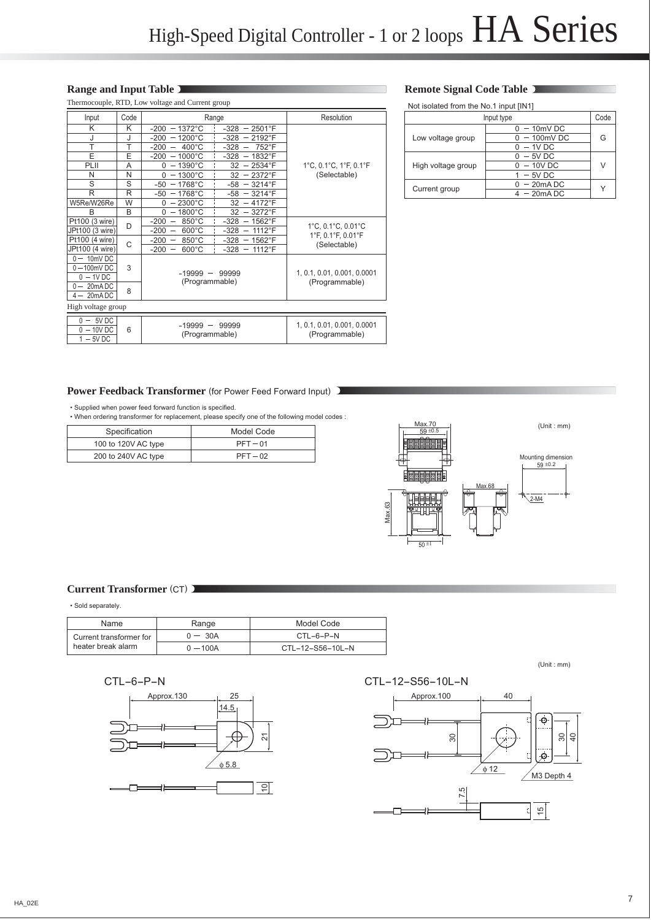#### **Range and Input Table**

|                                        |      | Thermocouple, RTD, Low voltage and Current group                                                    |                                               | Not isolated from the No.1 input [IN1] |                 |        |
|----------------------------------------|------|-----------------------------------------------------------------------------------------------------|-----------------------------------------------|----------------------------------------|-----------------|--------|
| Input                                  | Code | Range                                                                                               | Resolution                                    |                                        | Input type      | Code   |
| K                                      | Κ    | $-1372^{\circ}$ C<br>$-328$<br>2501°F<br>$-200$<br>$\overline{\phantom{m}}$                         |                                               |                                        | $0 - 10$ mV DC  |        |
|                                        |      | $-200 - 1200^{\circ}$ C<br>-328<br>$-2192^{\circ}F$                                                 |                                               | Low voltage group                      | $0 - 100$ mV DC | G      |
|                                        | T    | $400^{\circ}$ C<br>$-328$<br>752°F<br>$-200$<br>$\overline{\phantom{m}}$                            |                                               |                                        | $0 - 1V$ DC     |        |
| E                                      | E    | $-1000^{\circ}$ C<br>-328<br>1832°F<br>-200<br>$\overline{\phantom{m}}$                             |                                               |                                        | $0 - 5V$ DC     |        |
| PLII                                   | A    | $0 - 1390^{\circ}C$<br>2534°F<br>32<br>$\overline{\phantom{m}}$                                     | 1°C, 0.1°C, 1°F, 0.1°F                        | High voltage group                     | $0 - 10V$ DC    | $\vee$ |
| N                                      | N    | $0 - 1300^{\circ}C$<br>32<br>2372°F                                                                 | (Selectable)                                  |                                        | $-5V$ DC        |        |
| S                                      | S    | $-50 - 1768$ °C<br>-58<br>3214°F<br>$\qquad \qquad \blacksquare$                                    |                                               | Current group                          | $0 - 20$ mADC   | Y      |
| $\mathsf{R}$                           | R    | $-50 - 1768$ °C<br>$-58$<br>$= 3214$ °F                                                             |                                               |                                        | $4 - 20m$ ADC   |        |
| W5Re/W26Re                             | W    | $-2300^{\circ}$ C<br>32<br>$-4172^{\circ}F$<br>0                                                    |                                               |                                        |                 |        |
| B                                      | B    | $-1800^{\circ}$ C<br>32<br>3272°F<br>0<br>$\overline{\phantom{m}}$                                  |                                               |                                        |                 |        |
| Pt100 (3 wire)                         | D    | 850°C<br>$-328$<br>1562°F<br>$-200$<br>$\overline{\phantom{m}}$                                     | 1°C, 0.1°C, 0.01°C                            |                                        |                 |        |
| JPt100 (3 wire)                        |      | $600^{\circ}$ C<br>1112°F<br>$-200$<br>-328<br>$\overline{\phantom{a}}$<br>$\overline{\phantom{m}}$ | 1°F, 0.1°F, 0.01°F                            |                                        |                 |        |
| Pt100 (4 wire)                         | C    | $-200$<br>850°C<br>$-328$<br>$-1562$ °F                                                             | (Selectable)                                  |                                        |                 |        |
| JPt100 (4 wire)                        |      | -200<br>$600^{\circ}$ C<br>$-328 - 1112$ °F                                                         |                                               |                                        |                 |        |
| $0 - 10$ mVDC                          |      |                                                                                                     |                                               |                                        |                 |        |
| $0 - 100$ mVDC                         | 3    | $-19999 -$<br>99999                                                                                 | 1, 0.1, 0.01, 0.001, 0.0001                   |                                        |                 |        |
| $0 - 1V$ DC                            |      | (Programmable)                                                                                      | (Programmable)                                |                                        |                 |        |
| $0 - 20$ mADC                          | 8    |                                                                                                     |                                               |                                        |                 |        |
| $4 - 20m$ ADC                          |      |                                                                                                     |                                               |                                        |                 |        |
| High voltage group                     |      |                                                                                                     |                                               |                                        |                 |        |
| $0 - 5VDC$<br>$0 - 10V$ DC<br>$-5V$ DC | 6    | $-19999 -$<br>99999<br>(Programmable)                                                               | 1, 0.1, 0.01, 0.001, 0.0001<br>(Programmable) |                                        |                 |        |

#### **Remote Signal Code Table**

| Input type         |               |   |  |  |  |
|--------------------|---------------|---|--|--|--|
|                    | $-10mV$ DC    |   |  |  |  |
| Low voltage group  | $-100mV$ DC   | G |  |  |  |
|                    | $-1V$ DC      |   |  |  |  |
|                    | $-5V$ DC      |   |  |  |  |
| High voltage group | $-10V$ DC     | V |  |  |  |
|                    | $-5V$ DC      |   |  |  |  |
| Current group      | $-20$ mADC    |   |  |  |  |
|                    | $4 - 20$ mADC |   |  |  |  |

#### Power Feedback Transformer (for Power Feed Forward Input) J

• Supplied when power feed forward function is specified.

• When ordering transformer for replacement, please specify one of the following model codes :

| Specification       | Model Code |
|---------------------|------------|
| 100 to 120V AC type | $PFT - 01$ |
| 200 to 240V AC type | $PFT - 02$ |



#### **Current Transformer** (CT)

• Sold separately.

| Name                    | Range      | Model Code        |
|-------------------------|------------|-------------------|
| Current transformer for | $0 - 30A$  | $CTI - 6 - P - N$ |
| heater break alarm      | $0 - 100A$ | CTL-12-S56-10L-N  |

$$
\mathsf{CTL-6-P-N}
$$